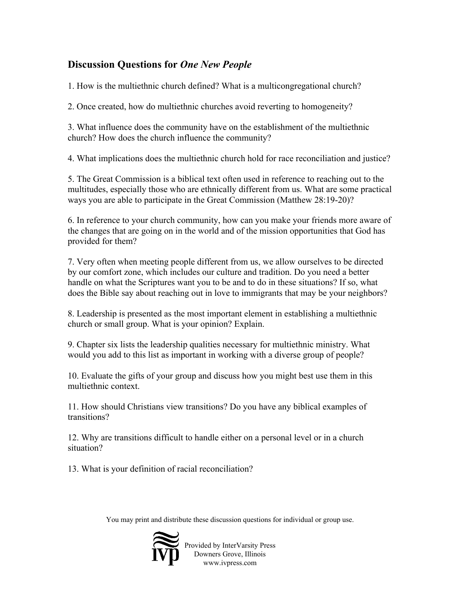## **Discussion Questions for** *One New People*

1. How is the multiethnic church defined? What is a multicongregational church?

2. Once created, how do multiethnic churches avoid reverting to homogeneity?

3. What influence does the community have on the establishment of the multiethnic church? How does the church influence the community?

4. What implications does the multiethnic church hold for race reconciliation and justice?

5. The Great Commission is a biblical text often used in reference to reaching out to the multitudes, especially those who are ethnically different from us. What are some practical ways you are able to participate in the Great Commission (Matthew 28:19-20)?

6. In reference to your church community, how can you make your friends more aware of the changes that are going on in the world and of the mission opportunities that God has provided for them?

7. Very often when meeting people different from us, we allow ourselves to be directed by our comfort zone, which includes our culture and tradition. Do you need a better handle on what the Scriptures want you to be and to do in these situations? If so, what does the Bible say about reaching out in love to immigrants that may be your neighbors?

8. Leadership is presented as the most important element in establishing a multiethnic church or small group. What is your opinion? Explain.

9. Chapter six lists the leadership qualities necessary for multiethnic ministry. What would you add to this list as important in working with a diverse group of people?

10. Evaluate the gifts of your group and discuss how you might best use them in this multiethnic context.

11. How should Christians view transitions? Do you have any biblical examples of transitions?

12. Why are transitions difficult to handle either on a personal level or in a church situation?

13. What is your definition of racial reconciliation?

You may print and distribute these discussion questions for individual or group use.



Provided by InterVarsity Press Downers Grove, Illinois www.ivpress.com